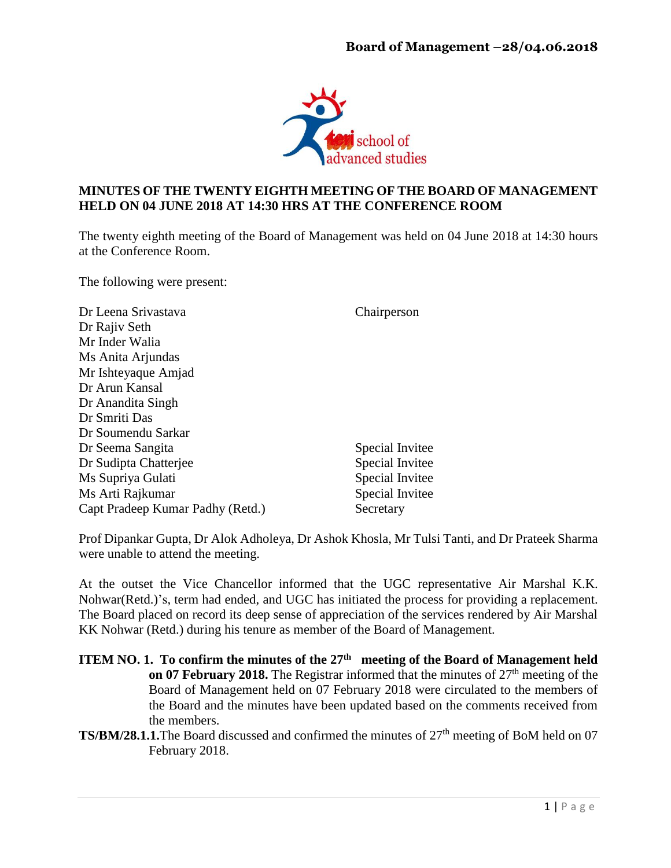

## **MINUTES OF THE TWENTY EIGHTH MEETING OF THE BOARD OF MANAGEMENT HELD ON 04 JUNE 2018 AT 14:30 HRS AT THE CONFERENCE ROOM**

The twenty eighth meeting of the Board of Management was held on 04 June 2018 at 14:30 hours at the Conference Room.

The following were present:

| Dr Leena Srivastava              | Chairperson     |
|----------------------------------|-----------------|
| Dr Rajiv Seth                    |                 |
| Mr Inder Walia                   |                 |
| Ms Anita Arjundas                |                 |
| Mr Ishteyaque Amjad              |                 |
| Dr Arun Kansal                   |                 |
| Dr Anandita Singh                |                 |
| Dr Smriti Das                    |                 |
| Dr Soumendu Sarkar               |                 |
| Dr Seema Sangita                 | Special Invitee |
| Dr Sudipta Chatterjee            | Special Invitee |
| Ms Supriya Gulati                | Special Invitee |
| Ms Arti Rajkumar                 | Special Invitee |
| Capt Pradeep Kumar Padhy (Retd.) | Secretary       |

Prof Dipankar Gupta, Dr Alok Adholeya, Dr Ashok Khosla, Mr Tulsi Tanti, and Dr Prateek Sharma were unable to attend the meeting.

At the outset the Vice Chancellor informed that the UGC representative Air Marshal K.K. Nohwar(Retd.)'s, term had ended, and UGC has initiated the process for providing a replacement. The Board placed on record its deep sense of appreciation of the services rendered by Air Marshal KK Nohwar (Retd.) during his tenure as member of the Board of Management.

- **ITEM NO. 1. To confirm the minutes of the 27<sup>th</sup> meeting of the Board of Management held on 07 February 2018.** The Registrar informed that the minutes of 27<sup>th</sup> meeting of the Board of Management held on 07 February 2018 were circulated to the members of the Board and the minutes have been updated based on the comments received from the members.
- TS/BM/28.1.1. The Board discussed and confirmed the minutes of 27<sup>th</sup> meeting of BoM held on 07 February 2018.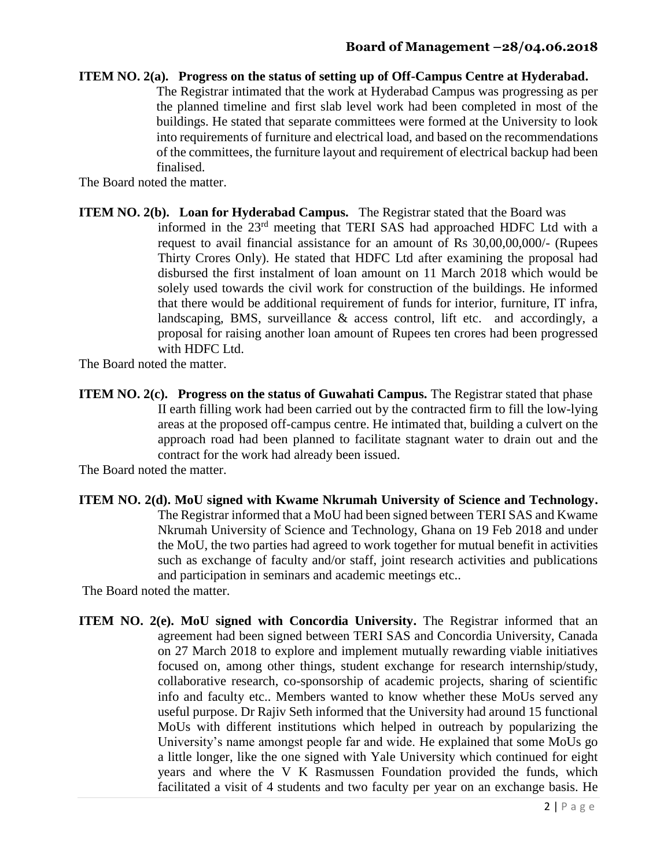#### **ITEM NO. 2(a). Progress on the status of setting up of Off-Campus Centre at Hyderabad.**

The Registrar intimated that the work at Hyderabad Campus was progressing as per the planned timeline and first slab level work had been completed in most of the buildings. He stated that separate committees were formed at the University to look into requirements of furniture and electrical load, and based on the recommendations of the committees, the furniture layout and requirement of electrical backup had been finalised.

The Board noted the matter.

**ITEM NO. 2(b). Loan for Hyderabad Campus.** The Registrar stated that the Board was informed in the 23rd meeting that TERI SAS had approached HDFC Ltd with a request to avail financial assistance for an amount of Rs 30,00,00,000/- (Rupees Thirty Crores Only). He stated that HDFC Ltd after examining the proposal had disbursed the first instalment of loan amount on 11 March 2018 which would be solely used towards the civil work for construction of the buildings. He informed that there would be additional requirement of funds for interior, furniture, IT infra, landscaping, BMS, surveillance & access control, lift etc. and accordingly, a proposal for raising another loan amount of Rupees ten crores had been progressed with HDFC Ltd.

The Board noted the matter.

**ITEM NO. 2(c). Progress on the status of Guwahati Campus.** The Registrar stated that phase II earth filling work had been carried out by the contracted firm to fill the low-lying areas at the proposed off-campus centre. He intimated that, building a culvert on the approach road had been planned to facilitate stagnant water to drain out and the contract for the work had already been issued.

The Board noted the matter.

**ITEM NO. 2(d). MoU signed with Kwame Nkrumah University of Science and Technology.** The Registrar informed that a MoU had been signed between TERI SAS and Kwame Nkrumah University of Science and Technology, Ghana on 19 Feb 2018 and under the MoU, the two parties had agreed to work together for mutual benefit in activities such as exchange of faculty and/or staff, joint research activities and publications and participation in seminars and academic meetings etc..

The Board noted the matter.

**ITEM NO. 2(e). MoU signed with Concordia University.** The Registrar informed that an agreement had been signed between TERI SAS and Concordia University, Canada on 27 March 2018 to explore and implement mutually rewarding viable initiatives focused on, among other things, student exchange for research internship/study, collaborative research, co-sponsorship of academic projects, sharing of scientific info and faculty etc.. Members wanted to know whether these MoUs served any useful purpose. Dr Rajiv Seth informed that the University had around 15 functional MoUs with different institutions which helped in outreach by popularizing the University's name amongst people far and wide. He explained that some MoUs go a little longer, like the one signed with Yale University which continued for eight years and where the V K Rasmussen Foundation provided the funds, which facilitated a visit of 4 students and two faculty per year on an exchange basis. He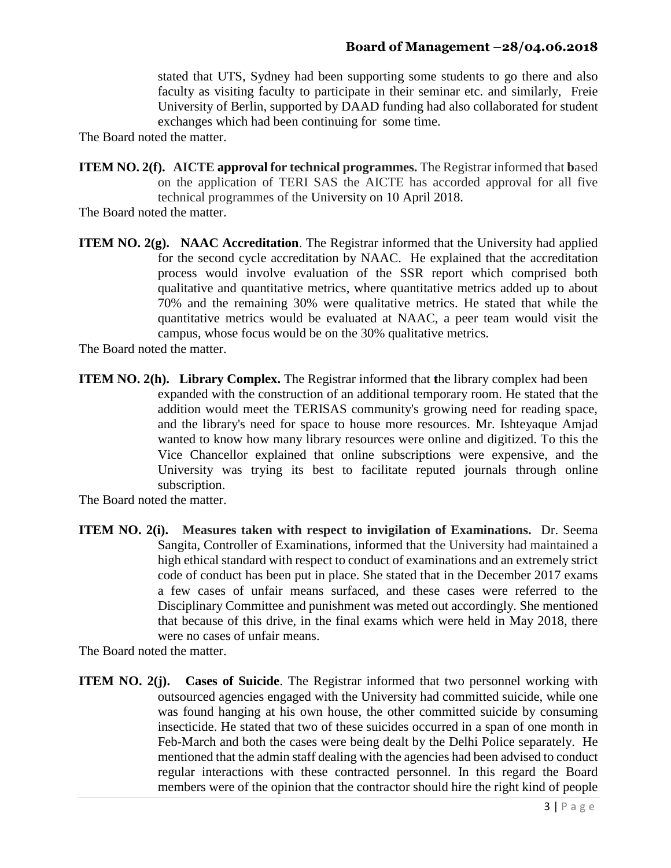stated that UTS, Sydney had been supporting some students to go there and also faculty as visiting faculty to participate in their seminar etc. and similarly, Freie University of Berlin, supported by DAAD funding had also collaborated for student exchanges which had been continuing for some time.

The Board noted the matter.

**ITEM NO. 2(f). AICTE approval for technical programmes.** The Registrar informed that **b**ased on the application of TERI SAS the AICTE has accorded approval for all five technical programmes of the University on 10 April 2018.

The Board noted the matter.

**ITEM NO. 2(g).** NAAC Accreditation. The Registrar informed that the University had applied for the second cycle accreditation by NAAC. He explained that the accreditation process would involve evaluation of the SSR report which comprised both qualitative and quantitative metrics, where quantitative metrics added up to about 70% and the remaining 30% were qualitative metrics. He stated that while the quantitative metrics would be evaluated at NAAC, a peer team would visit the campus, whose focus would be on the 30% qualitative metrics.

The Board noted the matter.

**ITEM NO. 2(h). Library Complex.** The Registrar informed that the library complex had been expanded with the construction of an additional temporary room. He stated that the addition would meet the TERISAS community's growing need for reading space, and the library's need for space to house more resources. Mr. Ishteyaque Amjad wanted to know how many library resources were online and digitized. To this the Vice Chancellor explained that online subscriptions were expensive, and the University was trying its best to facilitate reputed journals through online subscription.

The Board noted the matter.

**ITEM NO. 2(i). Measures taken with respect to invigilation of Examinations.** Dr. Seema Sangita, Controller of Examinations, informed that the University had maintained a high ethical standard with respect to conduct of examinations and an extremely strict code of conduct has been put in place. She stated that in the December 2017 exams a few cases of unfair means surfaced, and these cases were referred to the Disciplinary Committee and punishment was meted out accordingly. She mentioned that because of this drive, in the final exams which were held in May 2018, there were no cases of unfair means.

The Board noted the matter.

**ITEM NO. 2(j).** Cases of Suicide. The Registrar informed that two personnel working with outsourced agencies engaged with the University had committed suicide, while one was found hanging at his own house, the other committed suicide by consuming insecticide. He stated that two of these suicides occurred in a span of one month in Feb-March and both the cases were being dealt by the Delhi Police separately. He mentioned that the admin staff dealing with the agencies had been advised to conduct regular interactions with these contracted personnel. In this regard the Board members were of the opinion that the contractor should hire the right kind of people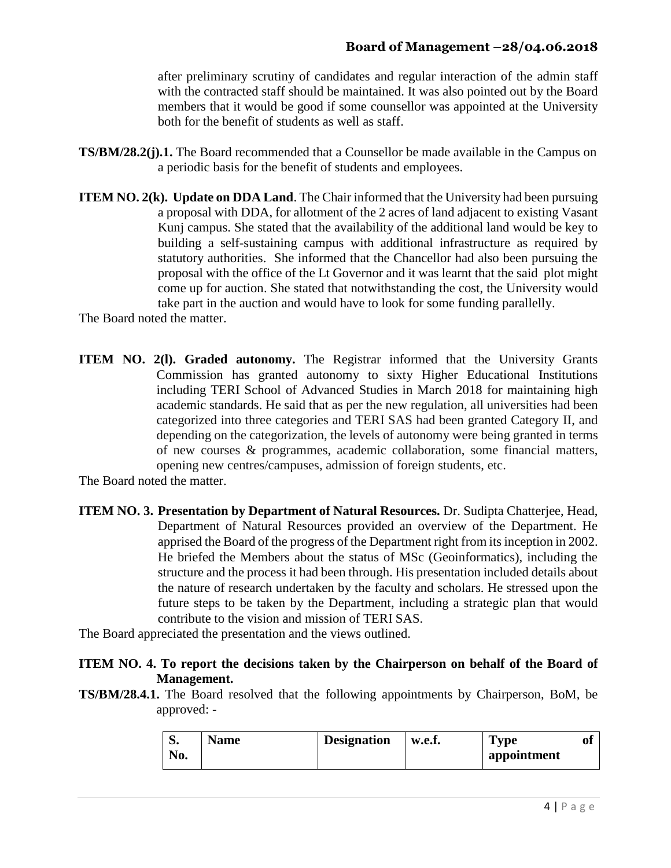after preliminary scrutiny of candidates and regular interaction of the admin staff with the contracted staff should be maintained. It was also pointed out by the Board members that it would be good if some counsellor was appointed at the University both for the benefit of students as well as staff.

- **TS/BM/28.2(j).1.** The Board recommended that a Counsellor be made available in the Campus on a periodic basis for the benefit of students and employees.
- **ITEM NO. 2(k). Update on DDA Land**. The Chair informed that the University had been pursuing a proposal with DDA, for allotment of the 2 acres of land adjacent to existing Vasant Kunj campus. She stated that the availability of the additional land would be key to building a self-sustaining campus with additional infrastructure as required by statutory authorities. She informed that the Chancellor had also been pursuing the proposal with the office of the Lt Governor and it was learnt that the said plot might come up for auction. She stated that notwithstanding the cost, the University would take part in the auction and would have to look for some funding parallelly.

The Board noted the matter.

**ITEM NO. 2(l). Graded autonomy.** The Registrar informed that the University Grants Commission has granted autonomy to sixty Higher Educational Institutions including TERI School of Advanced Studies in March 2018 for maintaining high academic standards. He said that as per the new regulation, all universities had been categorized into three categories and TERI SAS had been granted Category II, and depending on the categorization, the levels of autonomy were being granted in terms of new courses & programmes, academic collaboration, some financial matters, opening new centres/campuses, admission of foreign students, etc.

The Board noted the matter.

**ITEM NO. 3. Presentation by Department of Natural Resources.** Dr. Sudipta Chatterjee, Head, Department of Natural Resources provided an overview of the Department. He apprised the Board of the progress of the Department right from its inception in 2002. He briefed the Members about the status of MSc (Geoinformatics), including the structure and the process it had been through. His presentation included details about the nature of research undertaken by the faculty and scholars. He stressed upon the future steps to be taken by the Department, including a strategic plan that would contribute to the vision and mission of TERI SAS.

The Board appreciated the presentation and the views outlined.

# **ITEM NO. 4. To report the decisions taken by the Chairperson on behalf of the Board of Management.**

**TS/BM/28.4.1.** The Board resolved that the following appointments by Chairperson, BoM, be approved: -

| IJ. | Name | <b>Designation</b> | w.e.f. | <b>Type</b> | Ol |
|-----|------|--------------------|--------|-------------|----|
| No. |      |                    |        | appointment |    |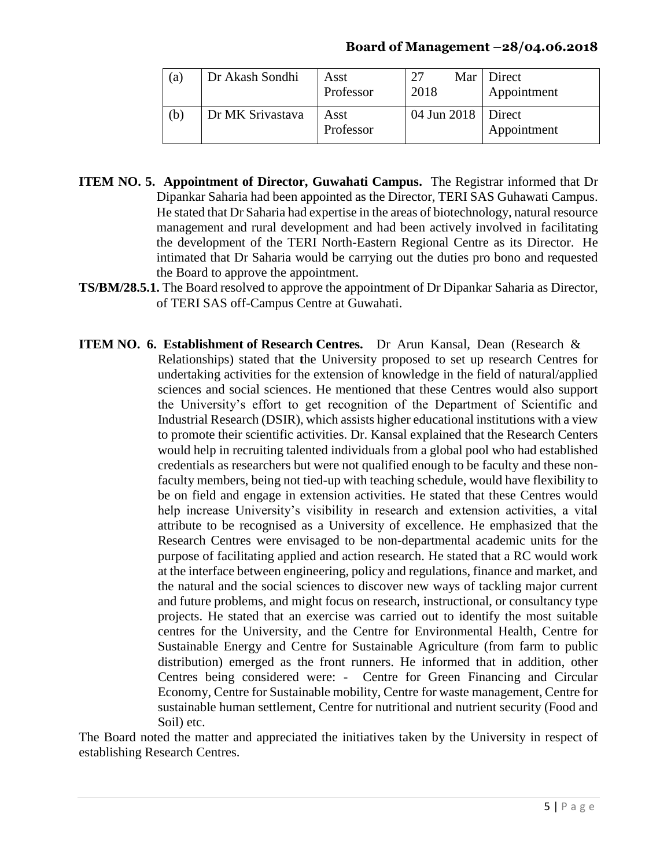### **Board of Management –28/04.06.2018**

| (a) | Dr Akash Sondhi  | Asst<br>Professor | 2018                 | Mar   Direct<br>Appointment |
|-----|------------------|-------------------|----------------------|-----------------------------|
| (b) | Dr MK Srivastava | Asst<br>Professor | 04 Jun 2018   Direct | Appointment                 |

- **ITEM NO. 5. Appointment of Director, Guwahati Campus.** The Registrar informed that Dr Dipankar Saharia had been appointed as the Director, TERI SAS Guhawati Campus. He stated that Dr Saharia had expertise in the areas of biotechnology, natural resource management and rural development and had been actively involved in facilitating the development of the TERI North-Eastern Regional Centre as its Director. He intimated that Dr Saharia would be carrying out the duties pro bono and requested the Board to approve the appointment.
- **TS/BM/28.5.1.** The Board resolved to approve the appointment of Dr Dipankar Saharia as Director, of TERI SAS off-Campus Centre at Guwahati.
- **ITEM NO. 6. Establishment of Research Centres.** Dr Arun Kansal, Dean (Research & Relationships) stated that **t**he University proposed to set up research Centres for undertaking activities for the extension of knowledge in the field of natural/applied sciences and social sciences. He mentioned that these Centres would also support the University's effort to get recognition of the Department of Scientific and Industrial Research (DSIR), which assists higher educational institutions with a view to promote their scientific activities. Dr. Kansal explained that the Research Centers would help in recruiting talented individuals from a global pool who had established credentials as researchers but were not qualified enough to be faculty and these nonfaculty members, being not tied-up with teaching schedule, would have flexibility to be on field and engage in extension activities. He stated that these Centres would help increase University's visibility in research and extension activities, a vital attribute to be recognised as a University of excellence. He emphasized that the Research Centres were envisaged to be non-departmental academic units for the purpose of facilitating applied and action research. He stated that a RC would work at the interface between engineering, policy and regulations, finance and market, and the natural and the social sciences to discover new ways of tackling major current and future problems, and might focus on research, instructional, or consultancy type projects. He stated that an exercise was carried out to identify the most suitable centres for the University, and the Centre for Environmental Health, Centre for Sustainable Energy and Centre for Sustainable Agriculture (from farm to public distribution) emerged as the front runners. He informed that in addition, other Centres being considered were: - Centre for Green Financing and Circular Economy, Centre for Sustainable mobility, Centre for waste management, Centre for sustainable human settlement, Centre for nutritional and nutrient security (Food and Soil) etc.

The Board noted the matter and appreciated the initiatives taken by the University in respect of establishing Research Centres.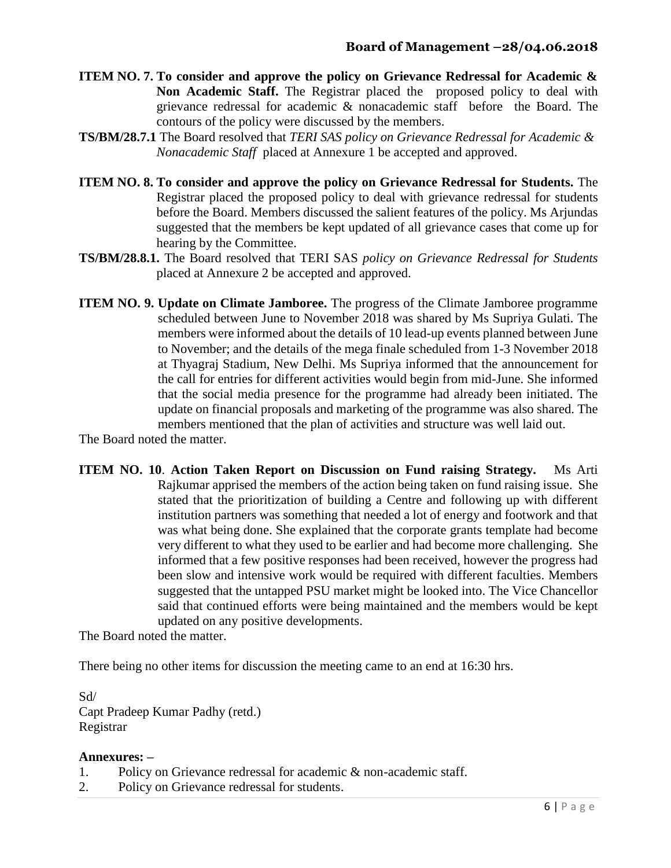- **ITEM NO. 7. To consider and approve the policy on Grievance Redressal for Academic & Non Academic Staff.** The Registrar placed the proposed policy to deal with grievance redressal for academic & nonacademic staff before the Board. The contours of the policy were discussed by the members.
- **TS/BM/28.7.1** The Board resolved that *TERI SAS policy on Grievance Redressal for Academic & Nonacademic Staff* placed at Annexure 1 be accepted and approved.
- **ITEM NO. 8. To consider and approve the policy on Grievance Redressal for Students.** The Registrar placed the proposed policy to deal with grievance redressal for students before the Board. Members discussed the salient features of the policy. Ms Arjundas suggested that the members be kept updated of all grievance cases that come up for hearing by the Committee.
- **TS/BM/28.8.1.** The Board resolved that TERI SAS *policy on Grievance Redressal for Students* placed at Annexure 2 be accepted and approved.
- **ITEM NO. 9. Update on Climate Jamboree.** The progress of the Climate Jamboree programme scheduled between June to November 2018 was shared by Ms Supriya Gulati. The members were informed about the details of 10 lead-up events planned between June to November; and the details of the mega finale scheduled from 1-3 November 2018 at Thyagraj Stadium, New Delhi. Ms Supriya informed that the announcement for the call for entries for different activities would begin from mid-June. She informed that the social media presence for the programme had already been initiated. The update on financial proposals and marketing of the programme was also shared. The members mentioned that the plan of activities and structure was well laid out.

The Board noted the matter.

**ITEM NO. 10**. **Action Taken Report on Discussion on Fund raising Strategy.** Ms Arti Rajkumar apprised the members of the action being taken on fund raising issue. She stated that the prioritization of building a Centre and following up with different institution partners was something that needed a lot of energy and footwork and that was what being done. She explained that the corporate grants template had become very different to what they used to be earlier and had become more challenging. She informed that a few positive responses had been received, however the progress had been slow and intensive work would be required with different faculties. Members suggested that the untapped PSU market might be looked into. The Vice Chancellor said that continued efforts were being maintained and the members would be kept updated on any positive developments.

The Board noted the matter.

There being no other items for discussion the meeting came to an end at 16:30 hrs.

Sd/ Capt Pradeep Kumar Padhy (retd.) Registrar

## **Annexures: –**

- 1. Policy on Grievance redressal for academic & non-academic staff.
- 2. Policy on Grievance redressal for students.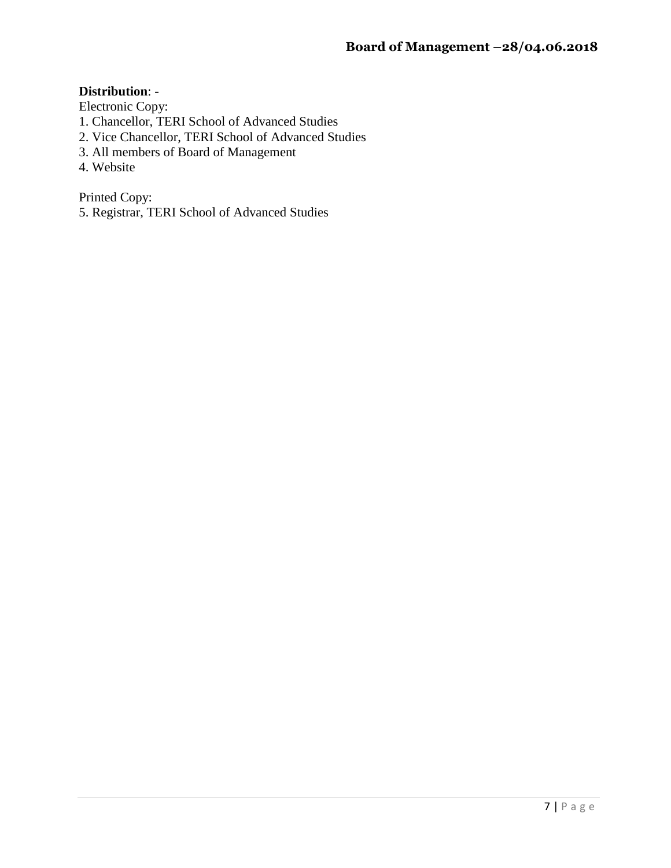## **Distribution**: -

Electronic Copy:

- 1. Chancellor, TERI School of Advanced Studies
- 2. Vice Chancellor, TERI School of Advanced Studies
- 3. All members of Board of Management
- 4. Website

Printed Copy:

5. Registrar, TERI School of Advanced Studies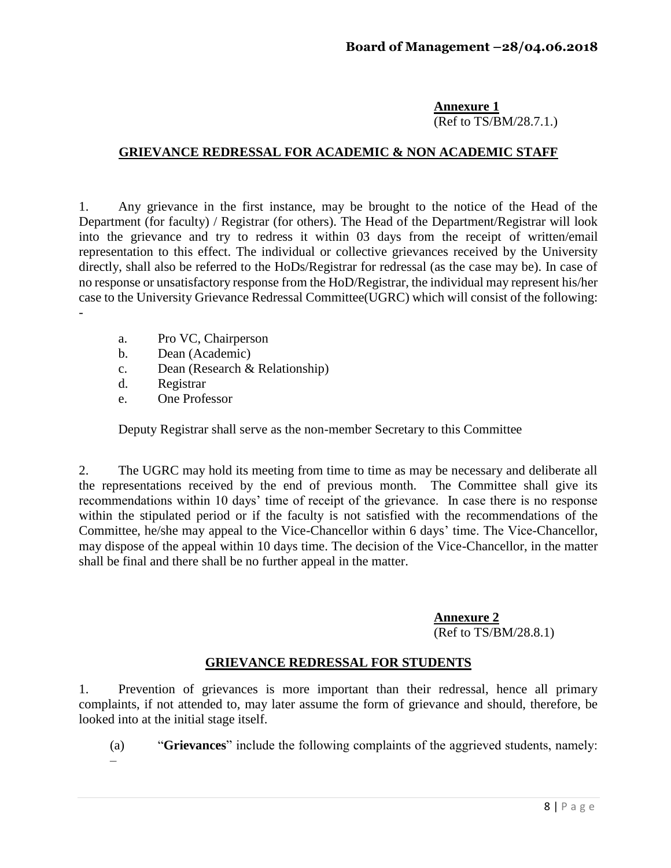#### **Annexure 1** (Ref to TS/BM/28.7.1.)

## **GRIEVANCE REDRESSAL FOR ACADEMIC & NON ACADEMIC STAFF**

1. Any grievance in the first instance, may be brought to the notice of the Head of the Department (for faculty) / Registrar (for others). The Head of the Department/Registrar will look into the grievance and try to redress it within 03 days from the receipt of written/email representation to this effect. The individual or collective grievances received by the University directly, shall also be referred to the HoDs/Registrar for redressal (as the case may be). In case of no response or unsatisfactory response from the HoD/Registrar, the individual may represent his/her case to the University Grievance Redressal Committee(UGRC) which will consist of the following: -

- a. Pro VC, Chairperson
- b. Dean (Academic)
- c. Dean (Research & Relationship)
- d. Registrar
- e. One Professor

Deputy Registrar shall serve as the non-member Secretary to this Committee

2. The UGRC may hold its meeting from time to time as may be necessary and deliberate all the representations received by the end of previous month. The Committee shall give its recommendations within 10 days' time of receipt of the grievance. In case there is no response within the stipulated period or if the faculty is not satisfied with the recommendations of the Committee, he/she may appeal to the Vice-Chancellor within 6 days' time. The Vice-Chancellor, may dispose of the appeal within 10 days time. The decision of the Vice-Chancellor, in the matter shall be final and there shall be no further appeal in the matter.

**Annexure 2**

(Ref to TS/BM/28.8.1)

## **GRIEVANCE REDRESSAL FOR STUDENTS**

1. Prevention of grievances is more important than their redressal, hence all primary complaints, if not attended to, may later assume the form of grievance and should, therefore, be looked into at the initial stage itself.

(a) "**Grievances**" include the following complaints of the aggrieved students, namely: –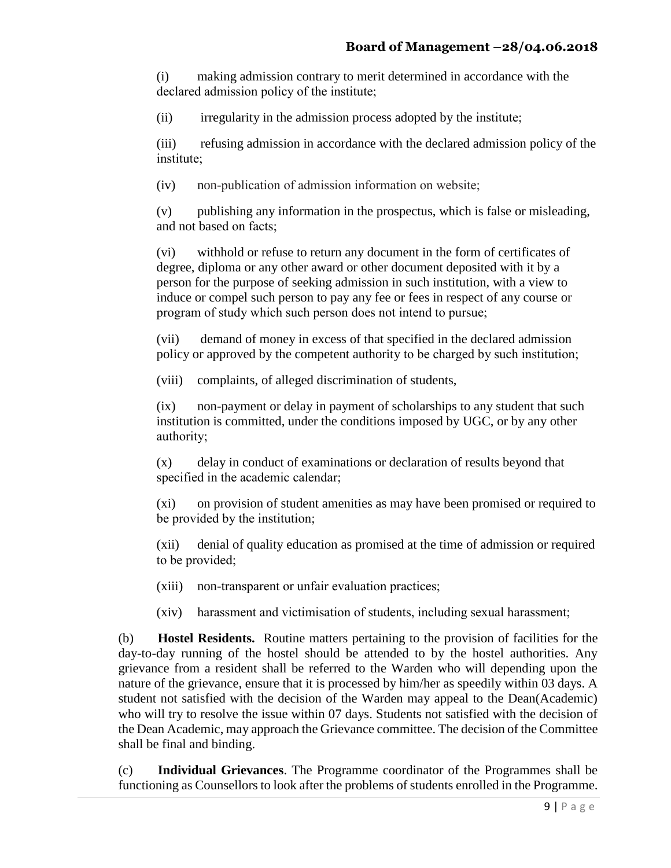(i) making admission contrary to merit determined in accordance with the declared admission policy of the institute;

(ii) irregularity in the admission process adopted by the institute;

(iii) refusing admission in accordance with the declared admission policy of the institute;

(iv) non-publication of admission information on website;

(v) publishing any information in the prospectus, which is false or misleading, and not based on facts;

(vi) withhold or refuse to return any document in the form of certificates of degree, diploma or any other award or other document deposited with it by a person for the purpose of seeking admission in such institution, with a view to induce or compel such person to pay any fee or fees in respect of any course or program of study which such person does not intend to pursue;

(vii) demand of money in excess of that specified in the declared admission policy or approved by the competent authority to be charged by such institution;

(viii) complaints, of alleged discrimination of students,

(ix) non-payment or delay in payment of scholarships to any student that such institution is committed, under the conditions imposed by UGC, or by any other authority;

(x) delay in conduct of examinations or declaration of results beyond that specified in the academic calendar;

(xi) on provision of student amenities as may have been promised or required to be provided by the institution;

(xii) denial of quality education as promised at the time of admission or required to be provided;

(xiii) non-transparent or unfair evaluation practices;

(xiv) harassment and victimisation of students, including sexual harassment;

(b) **Hostel Residents.** Routine matters pertaining to the provision of facilities for the day-to-day running of the hostel should be attended to by the hostel authorities. Any grievance from a resident shall be referred to the Warden who will depending upon the nature of the grievance, ensure that it is processed by him/her as speedily within 03 days. A student not satisfied with the decision of the Warden may appeal to the Dean(Academic) who will try to resolve the issue within 07 days. Students not satisfied with the decision of the Dean Academic, may approach the Grievance committee. The decision of the Committee shall be final and binding.

(c) **Individual Grievances**. The Programme coordinator of the Programmes shall be functioning as Counsellors to look after the problems of students enrolled in the Programme.